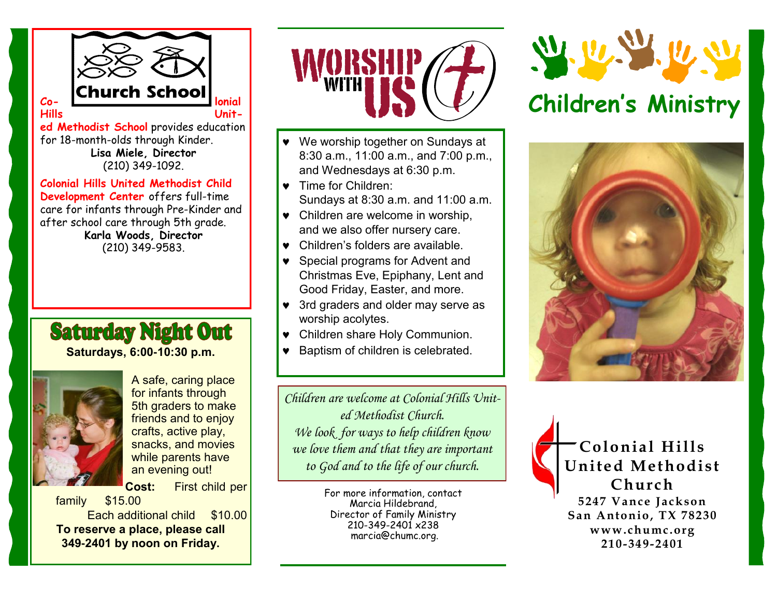

**ed Methodist School** provides education for 18-month-olds through Kinder. **Lisa Miele, Director**  (210) 349-1092.

**Colonial Hills United Methodist Child Development Center** offers full-time care for infants through Pre-Kinder and after school care through 5th grade. **Karla Woods, Director**  (210) 349-9583.

# **Saturday Night Out Saturdays, 6:00-10:30 p.m.**



A safe, caring place for infants through 5th graders to make friends and to enjoy crafts, active play, snacks, and movies while parents have an evening out!

**Cost:** First child per

family \$15.00 Each additional child \$10.00 **To reserve a place, please call 349-2401 by noon on Friday.**



- We worship together on Sundays at 8:30 a.m., 11:00 a.m., and 7:00 p.m., and Wednesdays at 6:30 p.m.
- Time for Children: Sundays at 8:30 a.m. and 11:00 a.m.
- Children are welcome in worship, and we also offer nursery care.
- Children's folders are available.
- Special programs for Advent and Christmas Eve, Epiphany, Lent and Good Friday, Easter, and more.
- 3rd graders and older may serve as worship acolytes.
- Children share Holy Communion.
- **•** Baptism of children is celebrated.

*Children are welcome at Colonial Hills United Methodist Church. We look for ways to help children know we love them and that they are important to God and to the life of our church.*

> For more information, contact Marcia Hildebrand, Director of Family Ministry 210-349-2401 x238 marcia@chumc.org.



# **Children's Ministry**



**Colonial Hills United Methodist Church 5247 Vance Jackson San Antonio, TX 78230 www.chumc.org 210-349-2401**